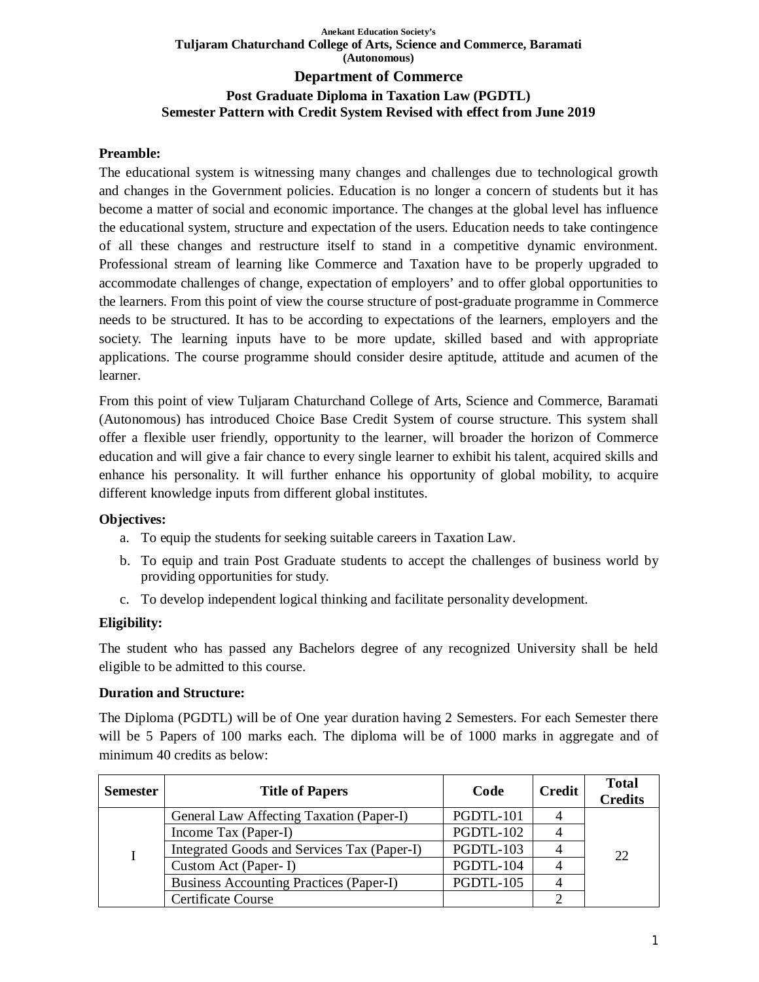# **Anekant Education Society's Tuljaram Chaturchand College of Arts, Science and Commerce, Baramati (Autonomous) Department of Commerce Post Graduate Diploma in Taxation Law (PGDTL)**

# **Semester Pattern with Credit System Revised with effect from June 2019**

# **Preamble:**

The educational system is witnessing many changes and challenges due to technological growth and changes in the Government policies. Education is no longer a concern of students but it has become a matter of social and economic importance. The changes at the global level has influence the educational system, structure and expectation of the users. Education needs to take contingence of all these changes and restructure itself to stand in a competitive dynamic environment. Professional stream of learning like Commerce and Taxation have to be properly upgraded to accommodate challenges of change, expectation of employers' and to offer global opportunities to the learners. From this point of view the course structure of post-graduate programme in Commerce needs to be structured. It has to be according to expectations of the learners, employers and the society. The learning inputs have to be more update, skilled based and with appropriate applications. The course programme should consider desire aptitude, attitude and acumen of the learner.

From this point of view Tuljaram Chaturchand College of Arts, Science and Commerce, Baramati (Autonomous) has introduced Choice Base Credit System of course structure. This system shall offer a flexible user friendly, opportunity to the learner, will broader the horizon of Commerce education and will give a fair chance to every single learner to exhibit his talent, acquired skills and enhance his personality. It will further enhance his opportunity of global mobility, to acquire different knowledge inputs from different global institutes.

# **Objectives:**

- a. To equip the students for seeking suitable careers in Taxation Law.
- b. To equip and train Post Graduate students to accept the challenges of business world by providing opportunities for study.
- c. To develop independent logical thinking and facilitate personality development.

# **Eligibility:**

The student who has passed any Bachelors degree of any recognized University shall be held eligible to be admitted to this course.

# **Duration and Structure:**

The Diploma (PGDTL) will be of One year duration having 2 Semesters. For each Semester there will be 5 Papers of 100 marks each. The diploma will be of 1000 marks in aggregate and of minimum 40 credits as below:

| <b>Semester</b> | <b>Title of Papers</b>                         | Code      | <b>Credit</b> | <b>Total</b><br><b>Credits</b> |
|-----------------|------------------------------------------------|-----------|---------------|--------------------------------|
|                 | General Law Affecting Taxation (Paper-I)       | PGDTL-101 |               |                                |
|                 | Income Tax (Paper-I)                           | PGDTL-102 |               |                                |
|                 | Integrated Goods and Services Tax (Paper-I)    | PGDTL-103 |               | 22.                            |
|                 | Custom Act (Paper-I)                           | PGDTL-104 |               |                                |
|                 | <b>Business Accounting Practices (Paper-I)</b> | PGDTL-105 |               |                                |
|                 | <b>Certificate Course</b>                      |           |               |                                |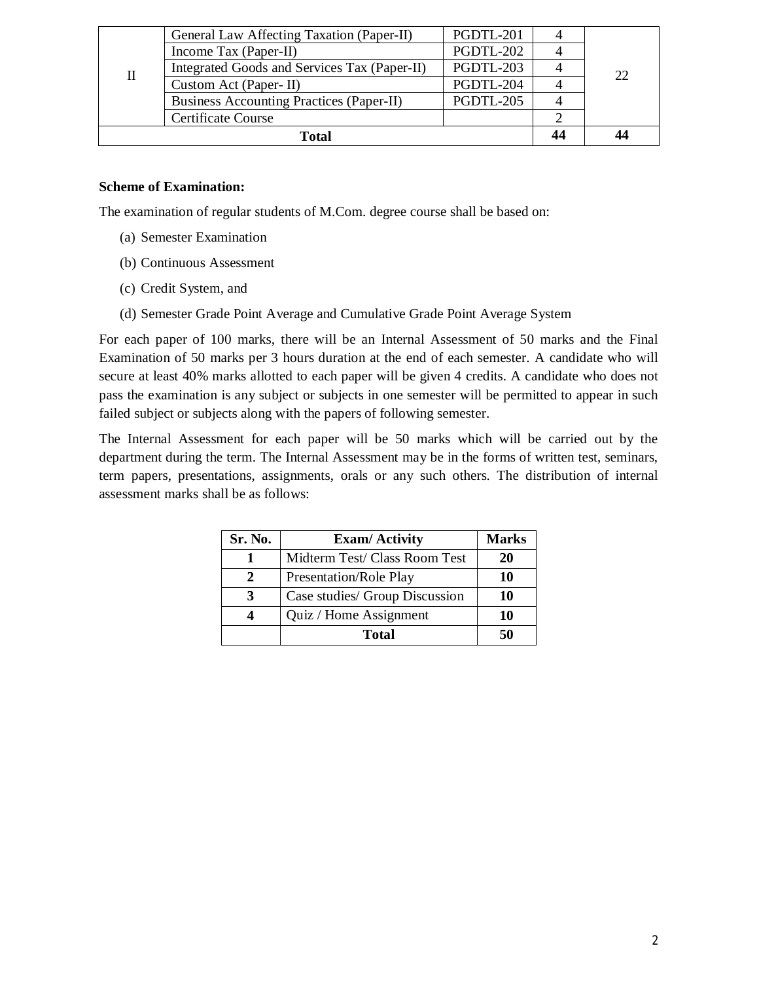|              | PGDTL-201<br>General Law Affecting Taxation (Paper-II) |           |    |    |
|--------------|--------------------------------------------------------|-----------|----|----|
|              | Income Tax (Paper-II)                                  | PGDTL-202 |    |    |
| П            | Integrated Goods and Services Tax (Paper-II)           | PGDTL-203 |    | 22 |
|              | Custom Act (Paper-II)                                  | PGDTL-204 |    |    |
|              | <b>Business Accounting Practices (Paper-II)</b>        | PGDTL-205 |    |    |
|              | <b>Certificate Course</b>                              |           |    |    |
| <b>Total</b> |                                                        |           | 44 | 44 |

# **Scheme of Examination:**

The examination of regular students of M.Com. degree course shall be based on:

- (a) Semester Examination
- (b) Continuous Assessment
- (c) Credit System, and
- (d) Semester Grade Point Average and Cumulative Grade Point Average System

For each paper of 100 marks, there will be an Internal Assessment of 50 marks and the Final Examination of 50 marks per 3 hours duration at the end of each semester. A candidate who will secure at least 40% marks allotted to each paper will be given 4 credits. A candidate who does not pass the examination is any subject or subjects in one semester will be permitted to appear in such failed subject or subjects along with the papers of following semester.

The Internal Assessment for each paper will be 50 marks which will be carried out by the department during the term. The Internal Assessment may be in the forms of written test, seminars, term papers, presentations, assignments, orals or any such others. The distribution of internal assessment marks shall be as follows:

| Sr. No. | <b>Exam/Activity</b>           | <b>Marks</b> |
|---------|--------------------------------|--------------|
|         | Midterm Test/ Class Room Test  | 20           |
|         | Presentation/Role Play         | 10           |
| 3       | Case studies/ Group Discussion | 10           |
|         | Quiz / Home Assignment         | 10           |
|         | Total                          | 50           |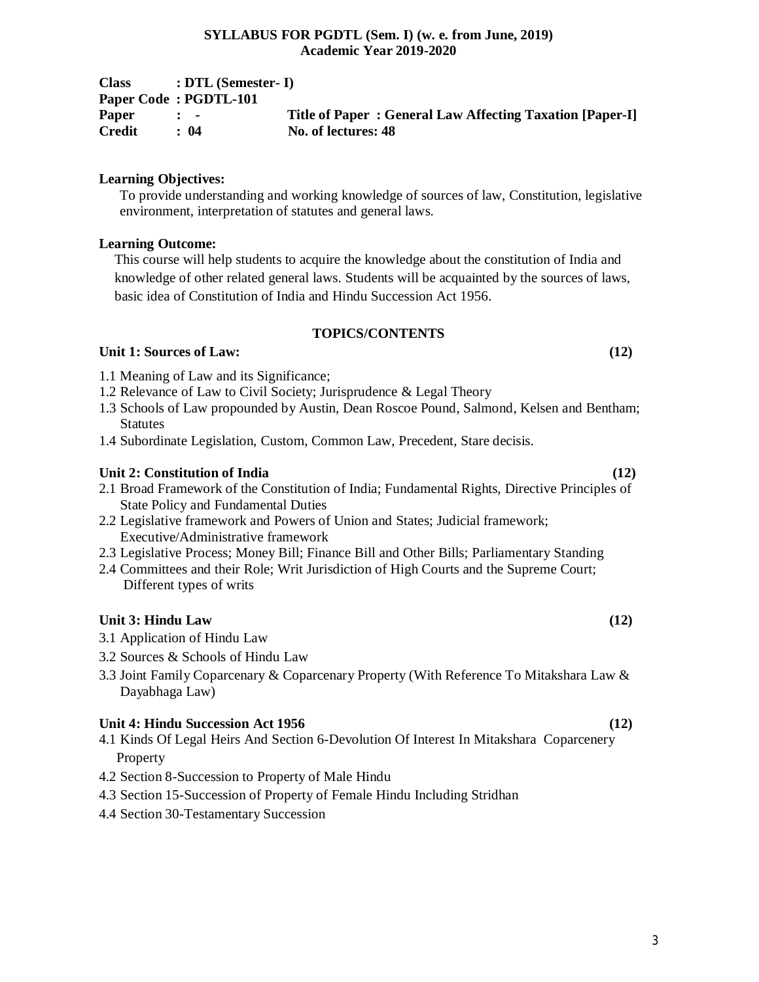| <b>Class</b>  | $: DTL$ (Semester- I)     |                                                          |
|---------------|---------------------------|----------------------------------------------------------|
|               | Paper Code: PGDTL-101     |                                                          |
| Paper         | $\mathbf{r}$ $\mathbf{r}$ | Title of Paper: General Law Affecting Taxation [Paper-I] |
| <b>Credit</b> | : 04                      | No. of lectures: 48                                      |

# **Learning Objectives:**

To provide understanding and working knowledge of sources of law, Constitution, legislative environment, interpretation of statutes and general laws.

# **Learning Outcome:**

This course will help students to acquire the knowledge about the constitution of India and knowledge of other related general laws. Students will be acquainted by the sources of laws, basic idea of Constitution of India and Hindu Succession Act 1956.

# **TOPICS/CONTENTS**

# **Unit 1: Sources of Law: (12)**

1.1 Meaning of Law and its Significance;

- 1.2 Relevance of Law to Civil Society; Jurisprudence & Legal Theory
- 1.3 Schools of Law propounded by Austin, Dean Roscoe Pound, Salmond, Kelsen and Bentham; Statutes
- 1.4 Subordinate Legislation, Custom, Common Law, Precedent, Stare decisis.

# **Unit 2: Constitution of India (12)**

- 2.1 Broad Framework of the Constitution of India; Fundamental Rights, Directive Principles of State Policy and Fundamental Duties
- 2.2 Legislative framework and Powers of Union and States; Judicial framework; Executive/Administrative framework
- 2.3 Legislative Process; Money Bill; Finance Bill and Other Bills; Parliamentary Standing
- 2.4 Committees and their Role; Writ Jurisdiction of High Courts and the Supreme Court; Different types of writs

# **Unit 3: Hindu Law (12)**

- 3.1 Application of Hindu Law
- 3.2 Sources & Schools of Hindu Law
- 3.3 Joint Family Coparcenary & Coparcenary Property (With Reference To Mitakshara Law & Dayabhaga Law)

# **Unit 4: Hindu Succession Act 1956 (12)**

- 4.1 Kinds Of Legal Heirs And Section 6-Devolution Of Interest In Mitakshara Coparcenery Property
- 4.2 Section 8-Succession to Property of Male Hindu
- 4.3 Section 15-Succession of Property of Female Hindu Including Stridhan
- 4.4 Section 30-Testamentary Succession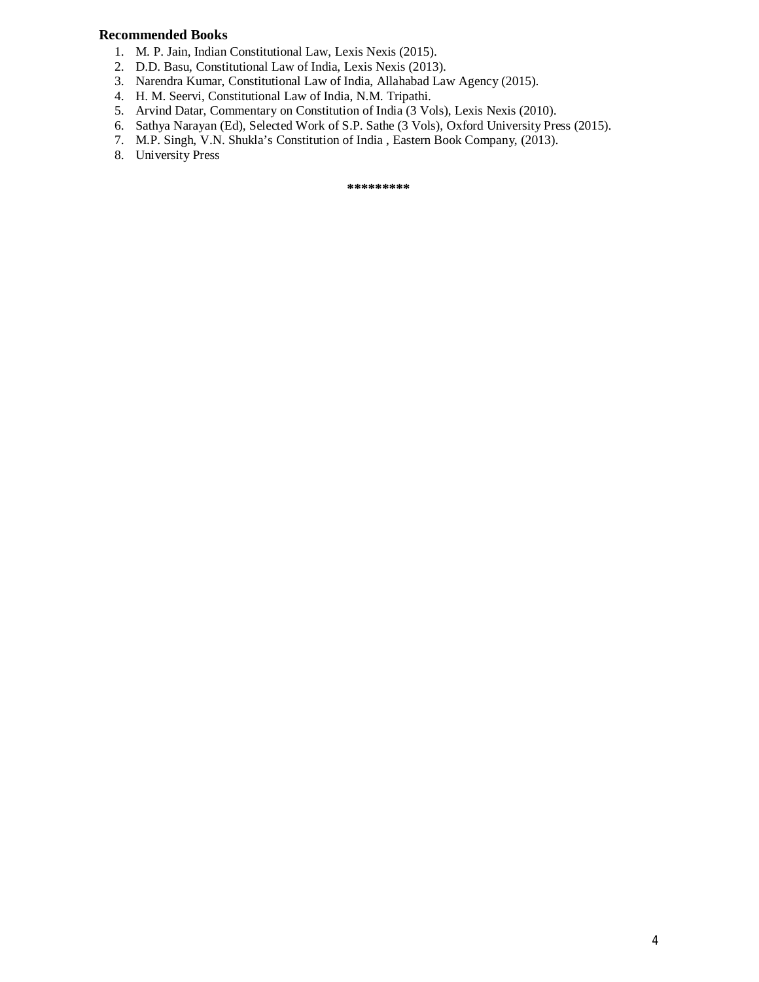### **Recommended Books**

- 1. M. P. Jain, Indian Constitutional Law, Lexis Nexis (2015).
- 2. D.D. Basu, Constitutional Law of India, Lexis Nexis (2013).
- 3. Narendra Kumar, Constitutional Law of India, Allahabad Law Agency (2015).
- 4. H. M. Seervi, Constitutional Law of India, N.M. Tripathi.
- 5. Arvind Datar, Commentary on Constitution of India (3 Vols), Lexis Nexis (2010).
- 6. Sathya Narayan (Ed), Selected Work of S.P. Sathe (3 Vols), Oxford University Press (2015).
- 7. M.P. Singh, V.N. Shukla's Constitution of India , Eastern Book Company, (2013).
- 8. University Press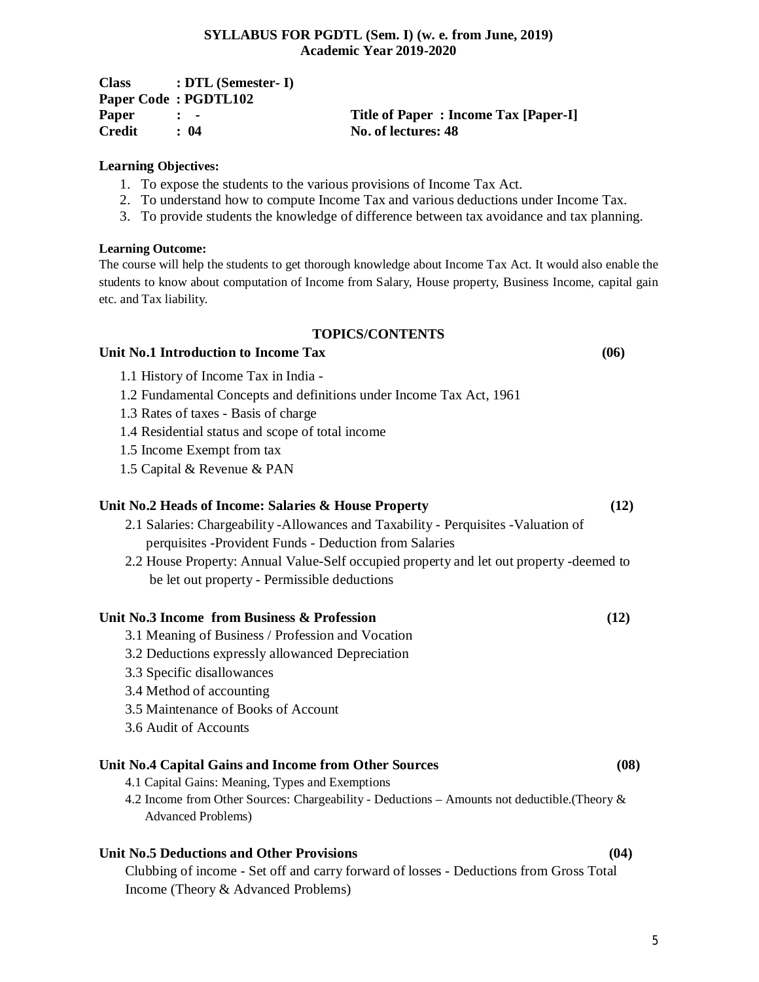| <b>Class</b> | $: DTL$ (Semester- I)     |                                      |
|--------------|---------------------------|--------------------------------------|
|              | Paper Code: PGDTL102      |                                      |
| Paper        | $\mathbf{r}$ $\mathbf{r}$ | Title of Paper: Income Tax [Paper-I] |
| Credit       | $\div$ 04                 | No. of lectures: 48                  |

#### **Learning Objectives:**

- 1. To expose the students to the various provisions of Income Tax Act.
- 2. To understand how to compute Income Tax and various deductions under Income Tax.
- 3. To provide students the knowledge of difference between tax avoidance and tax planning.

#### **Learning Outcome:**

The course will help the students to get thorough knowledge about Income Tax Act. It would also enable the students to know about computation of Income from Salary, House property, Business Income, capital gain etc. and Tax liability.

# **TOPICS/CONTENTS**

#### **Unit No.1 Introduction to Income Tax (06)**

- 1.1 History of Income Tax in India -
- 1.2 Fundamental Concepts and definitions under Income Tax Act, 1961
- 1.3 Rates of taxes Basis of charge
- 1.4 Residential status and scope of total income
- 1.5 Income Exempt from tax
- 1.5 Capital & Revenue & PAN

# **Unit No.2 Heads of Income: Salaries & House Property (12)**

- 2.1 Salaries: Chargeability -Allowances and Taxability Perquisites -Valuation of perquisites -Provident Funds - Deduction from Salaries
- 2.2 House Property: Annual Value-Self occupied property and let out property -deemed to be let out property - Permissible deductions

#### **Unit No.3 Income from Business & Profession (12)**

- 3.1 Meaning of Business / Profession and Vocation
- 3.2 Deductions expressly allowanced Depreciation
- 3.3 Specific disallowances
- 3.4 Method of accounting
- 3.5 Maintenance of Books of Account
- 3.6 Audit of Accounts

# **Unit No.4 Capital Gains and Income from Other Sources (08)**

- 4.1 Capital Gains: Meaning, Types and Exemptions
- 4.2 Income from Other Sources: Chargeability Deductions Amounts not deductible.(Theory & Advanced Problems)

#### **Unit No.5 Deductions and Other Provisions (04)**

Clubbing of income - Set off and carry forward of losses - Deductions from Gross Total Income (Theory & Advanced Problems)

- 
-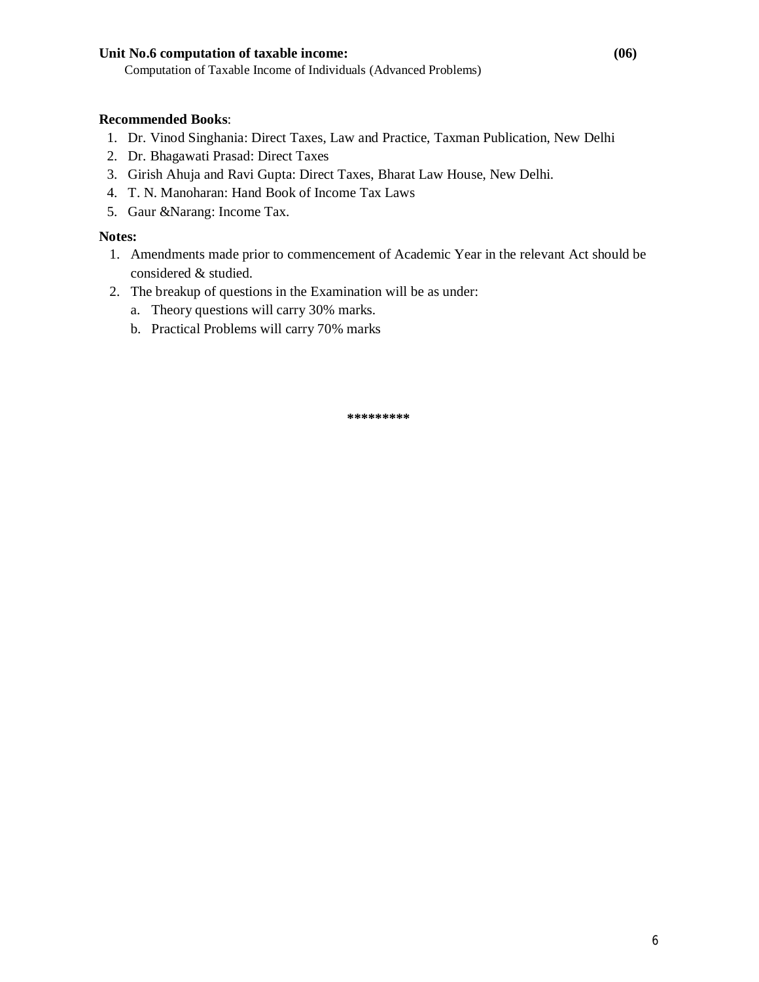# **Unit No.6 computation of taxable income: (06)**

Computation of Taxable Income of Individuals (Advanced Problems)

# **Recommended Books**:

- 1. Dr. Vinod Singhania: Direct Taxes, Law and Practice, Taxman Publication, New Delhi
- 2. Dr. Bhagawati Prasad: Direct Taxes
- 3. Girish Ahuja and Ravi Gupta: Direct Taxes, Bharat Law House, New Delhi.
- 4. T. N. Manoharan: Hand Book of Income Tax Laws
- 5. Gaur &Narang: Income Tax.

# **Notes:**

- 1. Amendments made prior to commencement of Academic Year in the relevant Act should be considered & studied.
- 2. The breakup of questions in the Examination will be as under:
	- a. Theory questions will carry 30% marks.
	- b. Practical Problems will carry 70% marks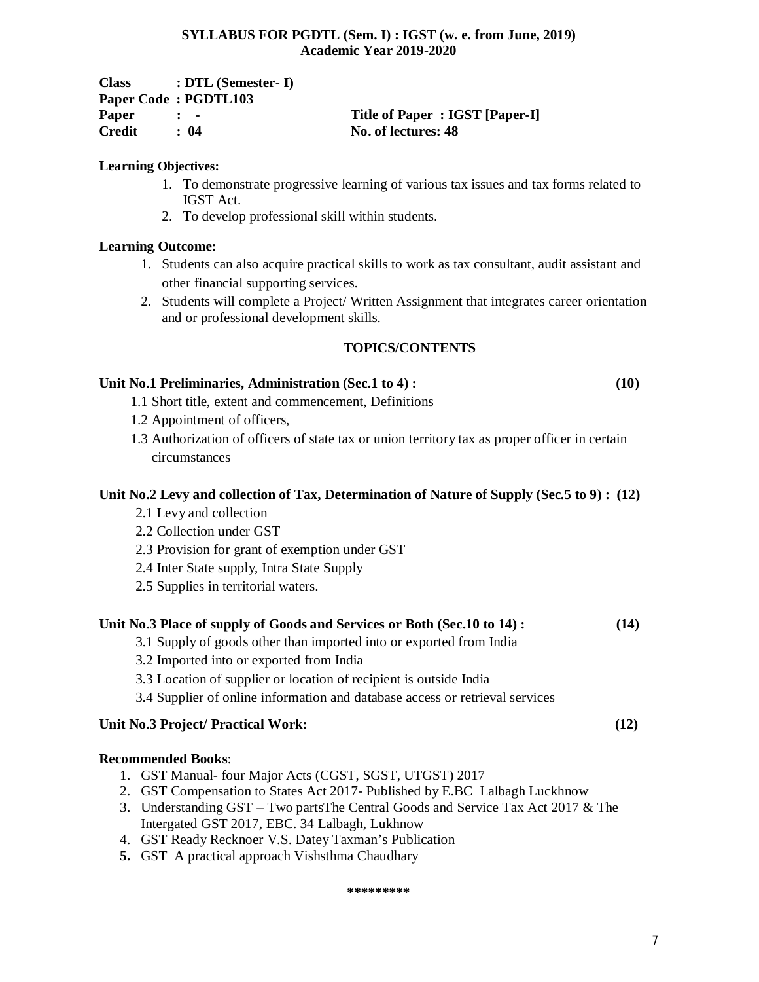| <b>Class</b>  | $\therefore$ DTL (Semester- I) |                                |
|---------------|--------------------------------|--------------------------------|
|               | Paper Code: PGDTL103           |                                |
| <b>Paper</b>  | $\mathbf{r}$ $\mathbf{r}$      | Title of Paper: IGST [Paper-I] |
| <b>Credit</b> | $\cdot$ 04                     | No. of lectures: 48            |

# **Learning Objectives:**

- 1. To demonstrate progressive learning of various tax issues and tax forms related to IGST Act.
- 2. To develop professional skill within students.

# **Learning Outcome:**

- 1. Students can also acquire practical skills to work as tax consultant, audit assistant and other financial supporting services.
- 2. Students will complete a Project/ Written Assignment that integrates career orientation and or professional development skills.

# **TOPICS/CONTENTS**

# **Unit No.1 Preliminaries, Administration (Sec.1 to 4) : (10)**

- 1.1 Short title, extent and commencement, Definitions
- 1.2 Appointment of officers,
- 1.3 Authorization of officers of state tax or union territory tax as proper officer in certain circumstances

# **Unit No.2 Levy and collection of Tax, Determination of Nature of Supply (Sec.5 to 9) : (12)**

- 2.1 Levy and collection
- 2.2 Collection under GST
- 2.3 Provision for grant of exemption under GST
- 2.4 Inter State supply, Intra State Supply
- 2.5 Supplies in territorial waters.

# **Unit No.3 Place of supply of Goods and Services or Both (Sec.10 to 14) : (14)**

- 3.1 Supply of goods other than imported into or exported from India
- 3.2 Imported into or exported from India
- 3.3 Location of supplier or location of recipient is outside India
- 3.4 Supplier of online information and database access or retrieval services

# **Unit No.3 Project/ Practical Work: (12)**

# **Recommended Books**:

- 1. GST Manual- four Major Acts (CGST, SGST, UTGST) 2017
- 2. GST Compensation to States Act 2017- Published by E.BC Lalbagh Luckhnow
- 3. Understanding GST Two partsThe Central Goods and Service Tax Act 2017 & The Intergated GST 2017, EBC. 34 Lalbagh, Lukhnow
- 4. GST Ready Recknoer V.S. Datey Taxman's Publication
- **5.** GST A practical approach Vishsthma Chaudhary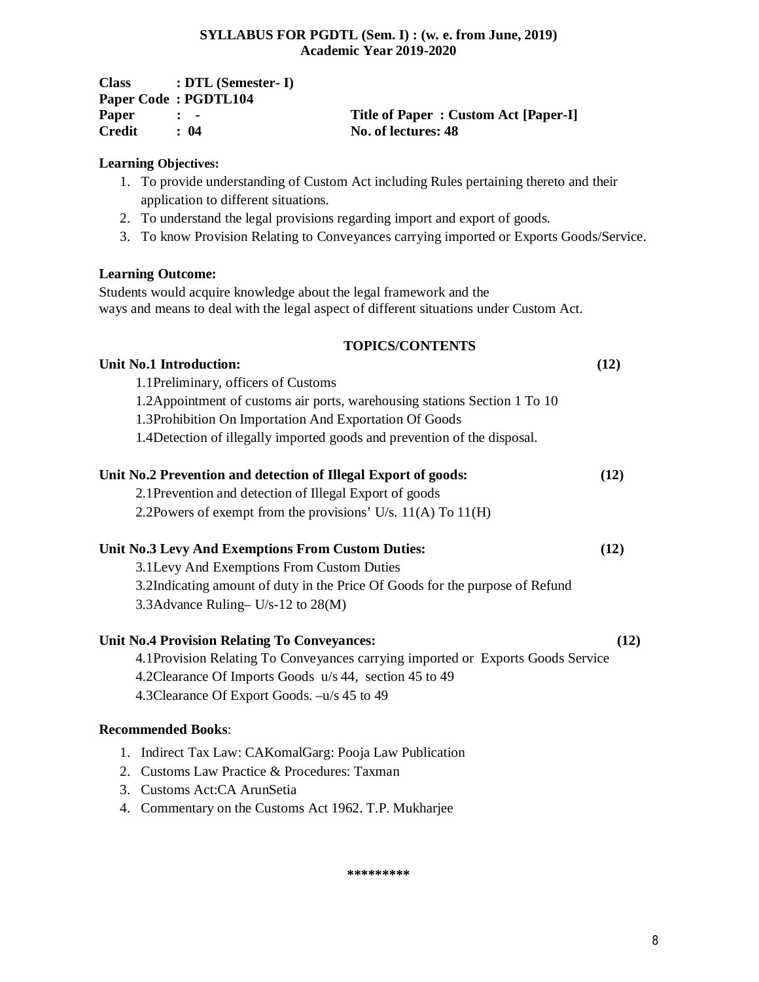| <b>Class</b> | $\therefore$ DTL (Semester- I) |                                      |
|--------------|--------------------------------|--------------------------------------|
|              | Paper Code: PGDTL104           |                                      |
| Paper        | $\mathbf{r}$ $\mathbf{r}$      | Title of Paper: Custom Act [Paper-I] |
| Credit       | $\cdot$ 04                     | No. of lectures: 48                  |

# **Learning Objectives:**

- 1. To provide understanding of Custom Act including Rules pertaining thereto and their application to different situations.
- 2. To understand the legal provisions regarding import and export of goods.
- 3. To know Provision Relating to Conveyances carrying imported or Exports Goods/Service.

# **Learning Outcome:**

Students would acquire knowledge about the legal framework and the ways and means to deal with the legal aspect of different situations under Custom Act.

# **TOPICS/CONTENTS**

**Unit No.1 Introduction: (12)** 

1.2Appointment of customs air ports, warehousing stations Section 1 To 10

1.3Prohibition On Importation And Exportation Of Goods

1.4Detection of illegally imported goods and prevention of the disposal.

# **Unit No.2 Prevention and detection of Illegal Export of goods: (12)**

2.1Prevention and detection of Illegal Export of goods

2.2Powers of exempt from the provisions' U/s. 11(A) To 11(H)

# **Unit No.3 Levy And Exemptions From Custom Duties: (12)**

3.1Levy And Exemptions From Custom Duties 3.2Indicating amount of duty in the Price Of Goods for the purpose of Refund

3.3Advance Ruling– U/s-12 to 28(M)

1.1Preliminary, officers of Customs

# **Unit No.4 Provision Relating To Conveyances: (12)**

4.1Provision Relating To Conveyances carrying imported or Exports Goods Service 4.2Clearance Of Imports Goods u/s 44, section 45 to 49 4.3Clearance Of Export Goods. –u/s 45 to 49

# **Recommended Books**:

- 1. Indirect Tax Law: CAKomalGarg: Pooja Law Publication
- 2. Customs Law Practice & Procedures: Taxman
- 3. Customs Act:CA ArunSetia
- 4. Commentary on the Customs Act 1962. T.P. Mukharjee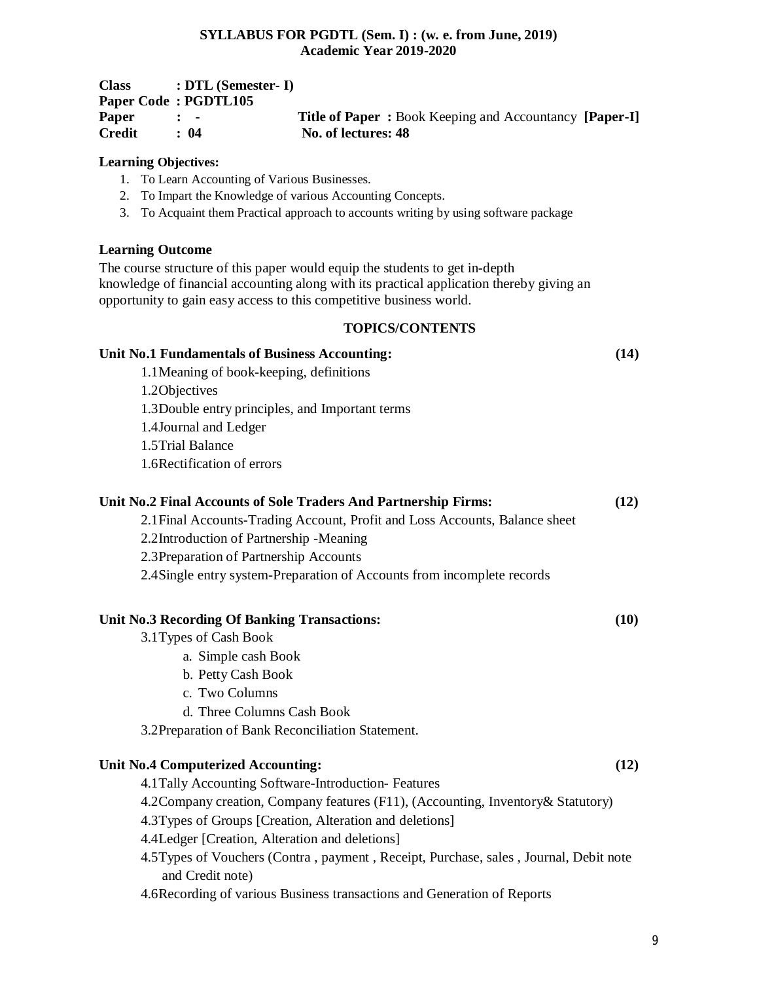| <b>Class</b> | $: DTL$ (Semester- I)     |                                                               |  |
|--------------|---------------------------|---------------------------------------------------------------|--|
|              | Paper Code: PGDTL105      |                                                               |  |
| Paper        | $\mathbf{r}$ $\mathbf{r}$ | <b>Title of Paper:</b> Book Keeping and Accountancy [Paper-I] |  |
| Credit       | : 04                      | No. of lectures: 48                                           |  |

#### **Learning Objectives:**

- 1. To Learn Accounting of Various Businesses.
- 2. To Impart the Knowledge of various Accounting Concepts.
- 3. To Acquaint them Practical approach to accounts writing by using software package

#### **Learning Outcome**

The course structure of this paper would equip the students to get in-depth knowledge of financial accounting along with its practical application thereby giving an opportunity to gain easy access to this competitive business world.

# **TOPICS/CONTENTS**

#### **Unit No.1 Fundamentals of Business Accounting: (14)**

1.1Meaning of book-keeping, definitions

1.2Objectives

1.3Double entry principles, and Important terms

1.4Journal and Ledger

1.5Trial Balance

1.6Rectification of errors

# **Unit No.2 Final Accounts of Sole Traders And Partnership Firms: (12)**

2.1Final Accounts-Trading Account, Profit and Loss Accounts, Balance sheet

2.2Introduction of Partnership -Meaning

2.3Preparation of Partnership Accounts

2.4Single entry system-Preparation of Accounts from incomplete records

#### **Unit No.3 Recording Of Banking Transactions: (10)**

- 3.1Types of Cash Book
	- a. Simple cash Book
	- b. Petty Cash Book
	- c. Two Columns
	- d. Three Columns Cash Book

3.2Preparation of Bank Reconciliation Statement.

#### **Unit No.4 Computerized Accounting: (12)**

4.1Tally Accounting Software-Introduction- Features

4.2Company creation, Company features (F11), (Accounting, Inventory& Statutory)

4.3Types of Groups [Creation, Alteration and deletions]

4.4Ledger [Creation, Alteration and deletions]

4.5Types of Vouchers (Contra , payment , Receipt, Purchase, sales , Journal, Debit note and Credit note)

4.6Recording of various Business transactions and Generation of Reports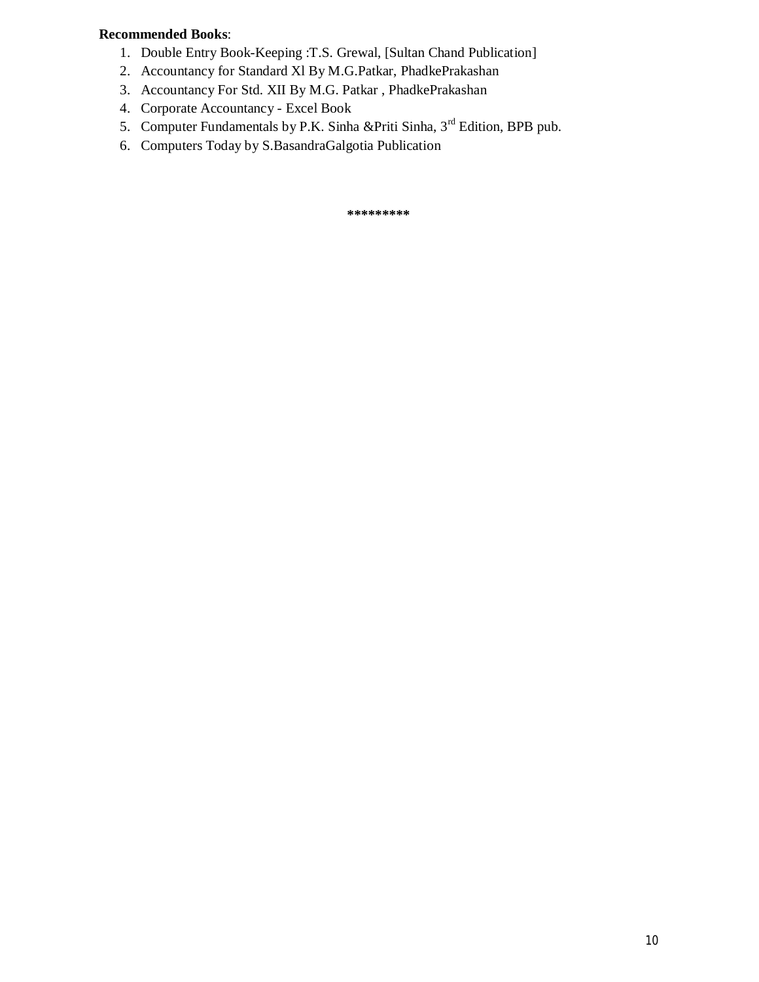# **Recommended Books**:

- 1. Double Entry Book-Keeping :T.S. Grewal, [Sultan Chand Publication]
- 2. Accountancy for Standard Xl By M.G.Patkar, PhadkePrakashan
- 3. Accountancy For Std. XII By M.G. Patkar , PhadkePrakashan
- 4. Corporate Accountancy Excel Book
- 5. Computer Fundamentals by P.K. Sinha & Priti Sinha, 3<sup>rd</sup> Edition, BPB pub.
- 6. Computers Today by S.BasandraGalgotia Publication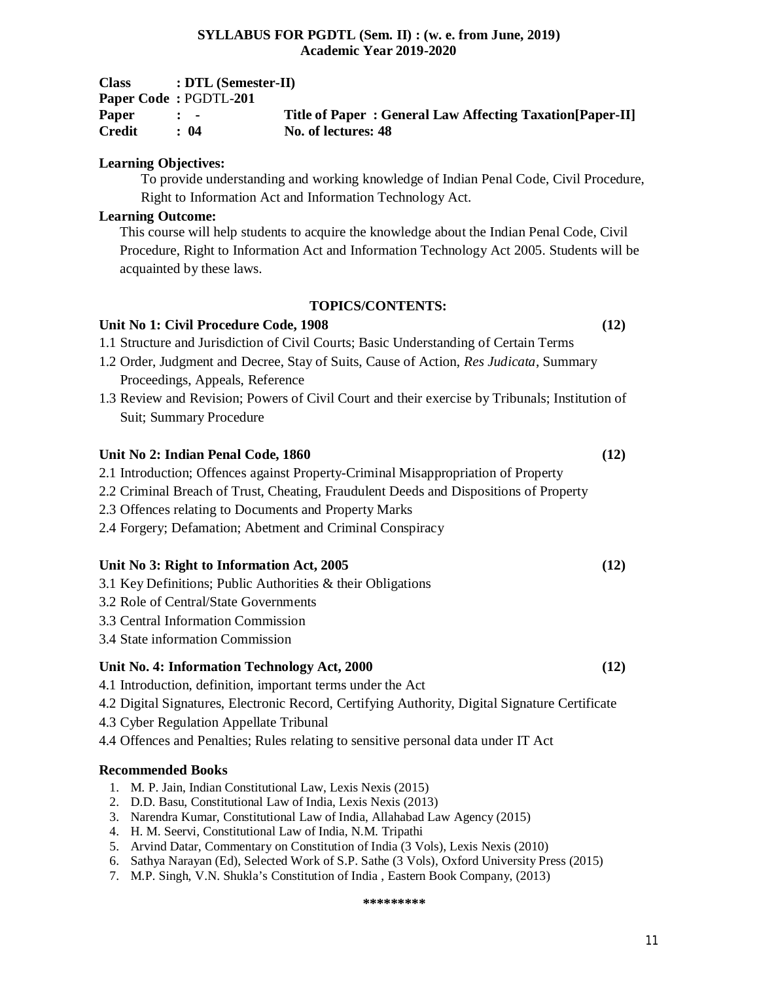| <b>Class</b>  | $: DTL$ (Semester-II)     |                                                           |
|---------------|---------------------------|-----------------------------------------------------------|
|               | Paper Code: PGDTL-201     |                                                           |
| Paper         | $\mathbf{r}$ $\mathbf{r}$ | Title of Paper: General Law Affecting Taxation [Paper-II] |
| <b>Credit</b> | : 04                      | No. of lectures: 48                                       |

# **Learning Objectives:**

To provide understanding and working knowledge of Indian Penal Code, Civil Procedure, Right to Information Act and Information Technology Act.

# **Learning Outcome:**

This course will help students to acquire the knowledge about the Indian Penal Code, Civil Procedure, Right to Information Act and Information Technology Act 2005. Students will be acquainted by these laws.

# **TOPICS/CONTENTS:**

# **Unit No 1: Civil Procedure Code, 1908 (12)**

1.1 Structure and Jurisdiction of Civil Courts; Basic Understanding of Certain Terms

- 1.2 Order, Judgment and Decree, Stay of Suits, Cause of Action, *Res Judicata*, Summary Proceedings, Appeals, Reference
- 1.3 Review and Revision; Powers of Civil Court and their exercise by Tribunals; Institution of Suit; Summary Procedure

# **Unit No 2: Indian Penal Code, 1860 (12)**

- 2.1 Introduction; Offences against Property-Criminal Misappropriation of Property
- 2.2 Criminal Breach of Trust, Cheating, Fraudulent Deeds and Dispositions of Property
- 2.3 Offences relating to Documents and Property Marks
- 2.4 Forgery; Defamation; Abetment and Criminal Conspiracy

# **Unit No 3: Right to Information Act, 2005 (12)**

- 3.1 Key Definitions; Public Authorities & their Obligations
- 3.2 Role of Central/State Governments
- 3.3 Central Information Commission
- 3.4 State information Commission

# **Unit No. 4: Information Technology Act, 2000 (12)**

- 4.1 Introduction, definition, important terms under the Act
- 4.2 Digital Signatures, Electronic Record, Certifying Authority, Digital Signature Certificate
- 4.3 Cyber Regulation Appellate Tribunal
- 4.4 Offences and Penalties; Rules relating to sensitive personal data under IT Act

# **Recommended Books**

- 1. M. P. Jain, Indian Constitutional Law, Lexis Nexis (2015)
- 2. D.D. Basu, Constitutional Law of India, Lexis Nexis (2013)
- 3. Narendra Kumar, Constitutional Law of India, Allahabad Law Agency (2015)
- 4. H. M. Seervi, Constitutional Law of India, N.M. Tripathi
- 5. Arvind Datar, Commentary on Constitution of India (3 Vols), Lexis Nexis (2010)
- 6. Sathya Narayan (Ed), Selected Work of S.P. Sathe (3 Vols), Oxford University Press (2015)
- 7. M.P. Singh, V.N. Shukla's Constitution of India , Eastern Book Company, (2013)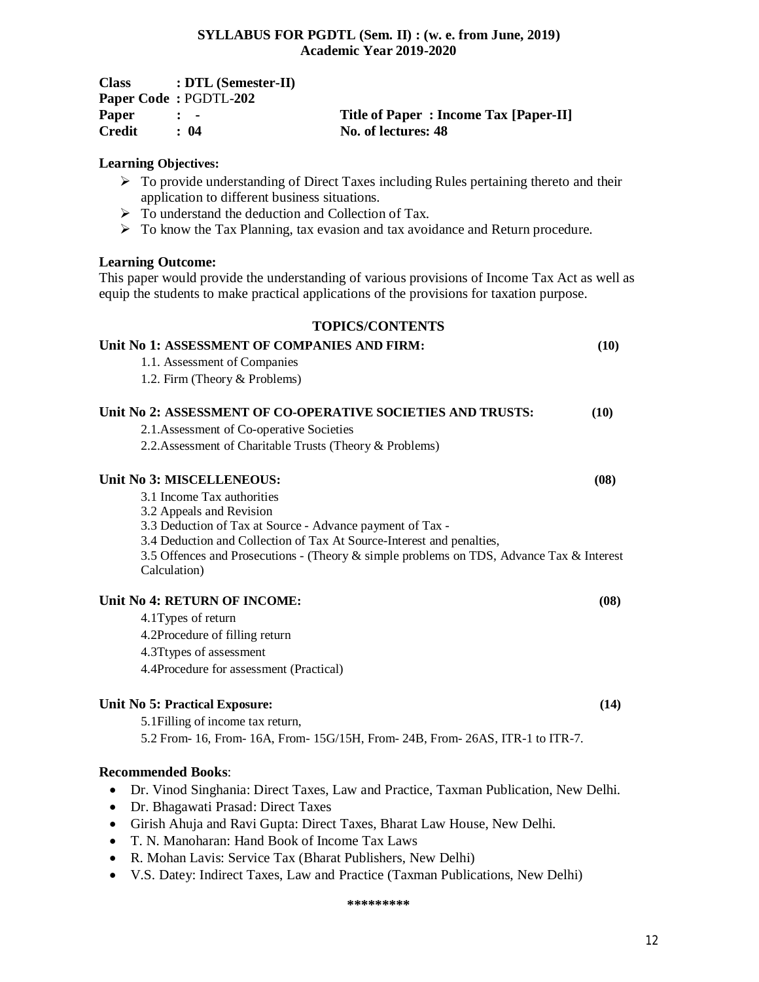| <b>Class</b> | $: DTL$ (Semester-II)        |                                       |
|--------------|------------------------------|---------------------------------------|
|              | <b>Paper Code: PGDTL-202</b> |                                       |
| Paper        | $\mathbf{r}$ $\mathbf{r}$    | Title of Paper: Income Tax [Paper-II] |
| Credit       | $\cdot$ 04                   | No. of lectures: 48                   |

### **Learning Objectives:**

- $\triangleright$  To provide understanding of Direct Taxes including Rules pertaining thereto and their application to different business situations.
- $\triangleright$  To understand the deduction and Collection of Tax.
- > To know the Tax Planning, tax evasion and tax avoidance and Return procedure.

#### **Learning Outcome:**

This paper would provide the understanding of various provisions of Income Tax Act as well as equip the students to make practical applications of the provisions for taxation purpose.

#### **TOPICS/CONTENTS**

| Unit No 1: ASSESSMENT OF COMPANIES AND FIRM:                                                             | (10) |
|----------------------------------------------------------------------------------------------------------|------|
| 1.1. Assessment of Companies                                                                             |      |
| 1.2. Firm (Theory & Problems)                                                                            |      |
| Unit No 2: ASSESSMENT OF CO-OPERATIVE SOCIETIES AND TRUSTS:                                              | (10) |
| 2.1. Assessment of Co-operative Societies                                                                |      |
| 2.2. Assessment of Charitable Trusts (Theory & Problems)                                                 |      |
| Unit No 3: MISCELLENEOUS:                                                                                | (08) |
| 3.1 Income Tax authorities                                                                               |      |
| 3.2 Appeals and Revision                                                                                 |      |
| 3.3 Deduction of Tax at Source - Advance payment of Tax -                                                |      |
| 3.4 Deduction and Collection of Tax At Source-Interest and penalties,                                    |      |
| 3.5 Offences and Prosecutions - (Theory & simple problems on TDS, Advance Tax & Interest<br>Calculation) |      |
| Unit No 4: RETURN OF INCOME:                                                                             | (08) |
| 4.1 Types of return                                                                                      |      |
| 4.2Procedure of filling return                                                                           |      |
| 4.3Ttypes of assessment                                                                                  |      |
| 4.4Procedure for assessment (Practical)                                                                  |      |
| <b>Unit No 5: Practical Exposure:</b>                                                                    | (14) |

5.1Filling of income tax return,

5.2 From- 16, From- 16A, From- 15G/15H, From- 24B, From- 26AS, ITR-1 to ITR-7.

# **Recommended Books**:

- Dr. Vinod Singhania: Direct Taxes, Law and Practice, Taxman Publication, New Delhi.
- Dr. Bhagawati Prasad: Direct Taxes
- Girish Ahuja and Ravi Gupta: Direct Taxes, Bharat Law House, New Delhi.
- T. N. Manoharan: Hand Book of Income Tax Laws
- R. Mohan Lavis: Service Tax (Bharat Publishers, New Delhi)
- V.S. Datey: Indirect Taxes, Law and Practice (Taxman Publications, New Delhi)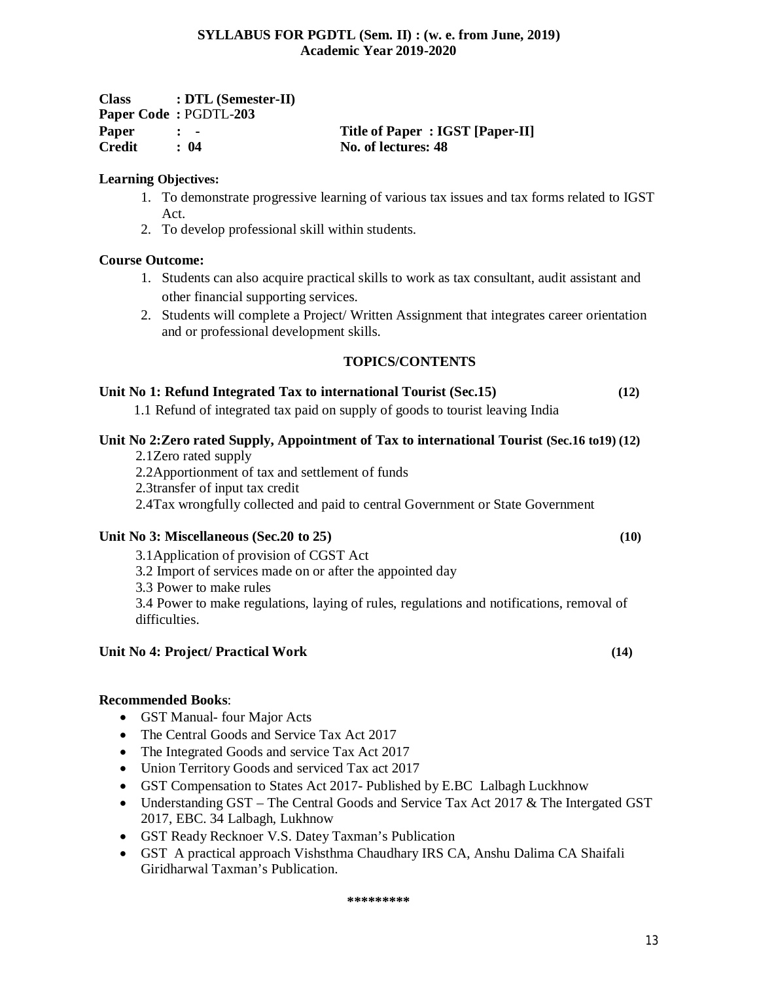| <b>Class</b>  | $: DTL$ (Semester-II)     |                                 |
|---------------|---------------------------|---------------------------------|
|               | Paper Code: PGDTL-203     |                                 |
| Paper         | $\mathbf{r}$ $\mathbf{r}$ | Title of Paper: IGST [Paper-II] |
| <b>Credit</b> | : 04                      | No. of lectures: 48             |

# **Learning Objectives:**

- 1. To demonstrate progressive learning of various tax issues and tax forms related to IGST Act.
- 2. To develop professional skill within students.

# **Course Outcome:**

- 1. Students can also acquire practical skills to work as tax consultant, audit assistant and other financial supporting services.
- 2. Students will complete a Project/ Written Assignment that integrates career orientation and or professional development skills.

# **TOPICS/CONTENTS**

# **Unit No 1: Refund Integrated Tax to international Tourist (Sec.15) (12)**

1.1 Refund of integrated tax paid on supply of goods to tourist leaving India

# **Unit No 2:Zero rated Supply, Appointment of Tax to international Tourist (Sec.16 to19) (12)**

- 2.1Zero rated supply
- 2.2Apportionment of tax and settlement of funds
- 2.3transfer of input tax credit

2.4Tax wrongfully collected and paid to central Government or State Government

# **Unit No 3: Miscellaneous (Sec.20 to 25) (10)**

3.1Application of provision of CGST Act

3.2 Import of services made on or after the appointed day

3.3 Power to make rules

3.4 Power to make regulations, laying of rules, regulations and notifications, removal of difficulties.

# **Unit No 4: Project/ Practical Work (14)**

# **Recommended Books**:

- GST Manual- four Major Acts
- The Central Goods and Service Tax Act 2017
- The Integrated Goods and service Tax Act 2017
- Union Territory Goods and serviced Tax act 2017
- GST Compensation to States Act 2017- Published by E.BC Lalbagh Luckhnow
- Understanding GST The Central Goods and Service Tax Act 2017 & The Intergated GST 2017, EBC. 34 Lalbagh, Lukhnow
- GST Ready Recknoer V.S. Datey Taxman's Publication
- GST A practical approach Vishsthma Chaudhary IRS CA, Anshu Dalima CA Shaifali Giridharwal Taxman's Publication.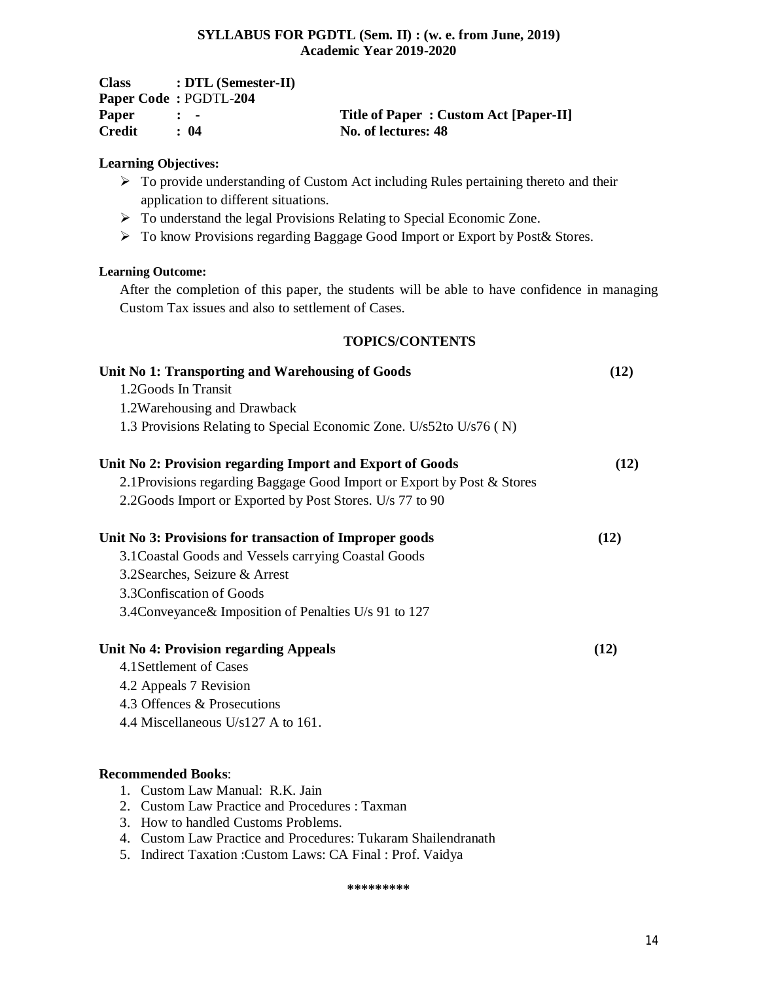| <b>Class</b> | $: DTL$ (Semester-II)        |                                       |
|--------------|------------------------------|---------------------------------------|
|              | <b>Paper Code: PGDTL-204</b> |                                       |
| Paper        | $\mathbf{r}$ $\mathbf{r}$    | Title of Paper: Custom Act [Paper-II] |
| Credit       | : 04                         | No. of lectures: 48                   |

# **Learning Objectives:**

- $\triangleright$  To provide understanding of Custom Act including Rules pertaining thereto and their application to different situations.
- > To understand the legal Provisions Relating to Special Economic Zone.
- To know Provisions regarding Baggage Good Import or Export by Post& Stores.

# **Learning Outcome:**

After the completion of this paper, the students will be able to have confidence in managing Custom Tax issues and also to settlement of Cases.

# **TOPICS/CONTENTS**

| Unit No 1: Transporting and Warehousing of Goods                        |      |
|-------------------------------------------------------------------------|------|
| 1.2Goods In Transit                                                     |      |
| 1.2Warehousing and Drawback                                             |      |
| 1.3 Provisions Relating to Special Economic Zone. U/s52to U/s76 (N)     |      |
| Unit No 2: Provision regarding Import and Export of Goods               | (12) |
| 2.1 Provisions regarding Baggage Good Import or Export by Post & Stores |      |
| 2.2 Goods Import or Exported by Post Stores. U/s 77 to 90               |      |
| Unit No 3: Provisions for transaction of Improper goods                 | (12) |
| 3.1 Coastal Goods and Vessels carrying Coastal Goods                    |      |
| 3.2 Searches, Seizure & Arrest                                          |      |
| 3.3 Confiscation of Goods                                               |      |
| 3.4 Conveyance & Imposition of Penalties U/s 91 to 127                  |      |
| Unit No 4: Provision regarding Appeals                                  | (12) |
| 4.1 Settlement of Cases                                                 |      |
| 4.2 Appeals 7 Revision                                                  |      |
| 4.3 Offences & Prosecutions                                             |      |
| 4.4 Miscellaneous $U/s127$ A to 161.                                    |      |
|                                                                         |      |
|                                                                         |      |

# **Recommended Books**:

- 1. Custom Law Manual: R.K. Jain
- 2. Custom Law Practice and Procedures : Taxman
- 3. How to handled Customs Problems.
- 4. Custom Law Practice and Procedures: Tukaram Shailendranath
- 5. Indirect Taxation :Custom Laws: CA Final : Prof. Vaidya